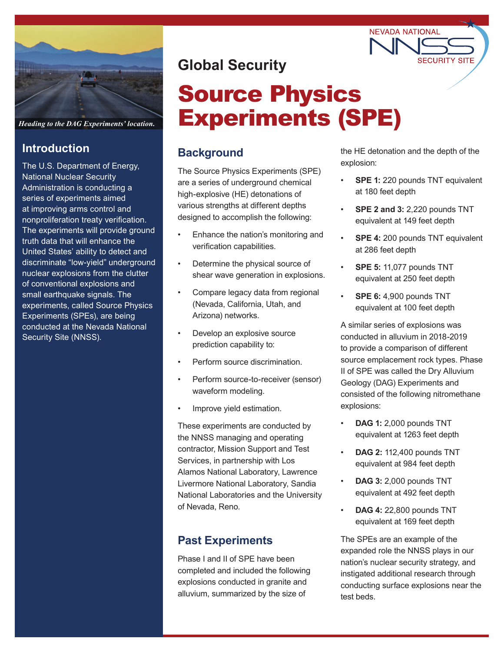

*Heading to the DAG Experiments' location.*

### **Introduction**

The U.S. Department of Energy, National Nuclear Security Administration is conducting a series of experiments aimed at improving arms control and nonproliferation treaty verification. The experiments will provide ground truth data that will enhance the United States' ability to detect and discriminate "low-yield" underground nuclear explosions from the clutter of conventional explosions and small earthquake signals. The experiments, called Source Physics Experiments (SPEs), are being conducted at the Nevada National Security Site (NNSS).

# **Global Security**

# Source Physics Experiments (SPE)

# **Background**

The Source Physics Experiments (SPE) are a series of underground chemical high-explosive (HE) detonations of various strengths at different depths designed to accomplish the following:

- Enhance the nation's monitoring and verification capabilities.
- Determine the physical source of shear wave generation in explosions.
- Compare legacy data from regional (Nevada, California, Utah, and Arizona) networks.
- Develop an explosive source prediction capability to:
- Perform source discrimination.
- Perform source-to-receiver (sensor) waveform modeling.
- Improve yield estimation.

These experiments are conducted by the NNSS managing and operating contractor, Mission Support and Test Services, in partnership with Los Alamos National Laboratory, Lawrence Livermore National Laboratory, Sandia National Laboratories and the University of Nevada, Reno.

### **Past Experiments**

Phase I and II of SPE have been completed and included the following explosions conducted in granite and alluvium, summarized by the size of

the HE detonation and the depth of the explosion:

**NEVADA NATIONAL** 

- **SPE 1: 220 pounds TNT equivalent** at 180 feet depth
- **SPE 2 and 3:** 2,220 pounds TNT equivalent at 149 feet depth
- **SPE 4:** 200 pounds TNT equivalent at 286 feet depth
- **SPE 5:** 11,077 pounds TNT equivalent at 250 feet depth
- **SPE 6:** 4,900 pounds TNT equivalent at 100 feet depth

A similar series of explosions was conducted in alluvium in 2018-2019 to provide a comparison of different source emplacement rock types. Phase II of SPE was called the Dry Alluvium Geology (DAG) Experiments and consisted of the following nitromethane explosions:

- **DAG 1:** 2,000 pounds TNT equivalent at 1263 feet depth
- **DAG 2:** 112,400 pounds TNT equivalent at 984 feet depth
- **DAG 3:** 2,000 pounds TNT equivalent at 492 feet depth
- **DAG 4:** 22,800 pounds TNT equivalent at 169 feet depth

The SPEs are an example of the expanded role the NNSS plays in our nation's nuclear security strategy, and instigated additional research through conducting surface explosions near the test beds.